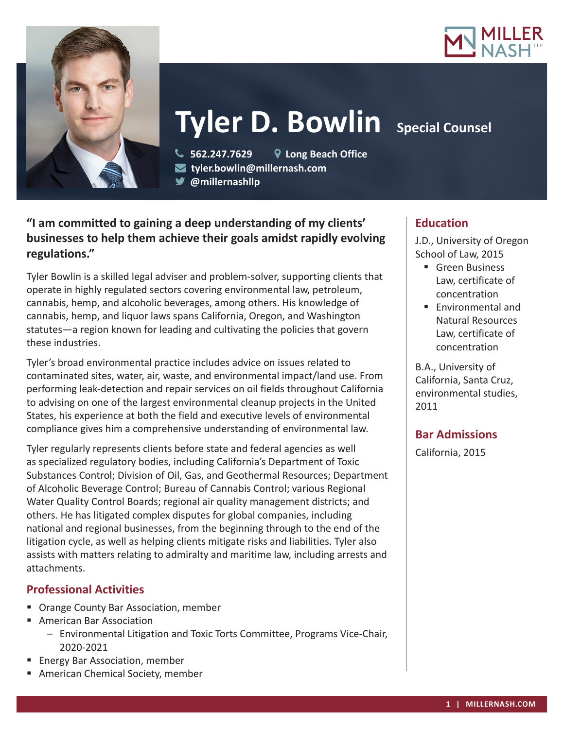



# **Tyler D. Bowlin** Special Counsel

 **562.247.7629 Long Beach Office tyler.bowlin@millernash.com** 

**@millernashllp** 

# **"I am committed to gaining a deep understanding of my clients' businesses to help them achieve their goals amidst rapidly evolving regulations."**

Tyler Bowlin is a skilled legal adviser and problem-solver, supporting clients that operate in highly regulated sectors covering environmental law, petroleum, cannabis, hemp, and alcoholic beverages, among others. His knowledge of cannabis, hemp, and liquor laws spans California, Oregon, and Washington statutes—a region known for leading and cultivating the policies that govern these industries.

Tyler's broad environmental practice includes advice on issues related to contaminated sites, water, air, waste, and environmental impact/land use. From performing leak-detection and repair services on oil fields throughout California to advising on one of the largest environmental cleanup projects in the United States, his experience at both the field and executive levels of environmental compliance gives him a comprehensive understanding of environmental law.

Tyler regularly represents clients before state and federal agencies as well as specialized regulatory bodies, including California's Department of Toxic Substances Control; Division of Oil, Gas, and Geothermal Resources; Department of Alcoholic Beverage Control; Bureau of Cannabis Control; various Regional Water Quality Control Boards; regional air quality management districts; and others. He has litigated complex disputes for global companies, including national and regional businesses, from the beginning through to the end of the litigation cycle, as well as helping clients mitigate risks and liabilities. Tyler also assists with matters relating to admiralty and maritime law, including arrests and attachments.

## **Professional Activities**

- **Orange County Bar Association, member**
- **American Bar Association** 
	- Environmental Litigation and Toxic Torts Committee, Programs Vice-Chair, 2020-2021
- Energy Bar Association, member
- **American Chemical Society, member**

## **Education**

J.D., University of Oregon School of Law, 2015

- **Green Business** Law, certificate of concentration
- $\blacksquare$  Environmental and Natural Resources Law, certificate of concentration

B.A., University of California, Santa Cruz, environmental studies, 2011

## **Bar Admissions**

California, 2015